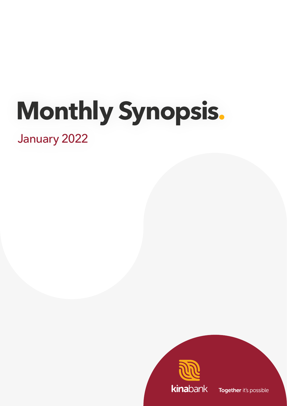# **Monthly Synopsis.**

January 2022



Together it's possible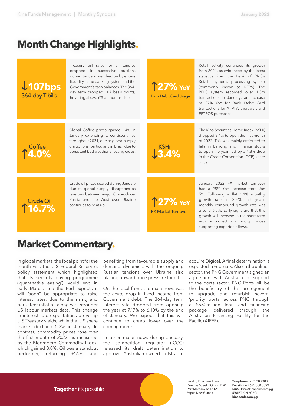## **Month Change Highlights.**

| $\downarrow$ 107bps<br>364-day T-bills | Treasury bill rates for all tenures<br>dropped in successive auctions<br>during January, weighed on by excess<br>liquidity in the banking system and the<br>Government's cash balances. The 364-<br>day term dropped 107 basis points;<br>hovering above 6% at months close. | $\uparrow$ 27% $\vee$<br><b>Bank Debit Card Usage</b> | Retail activity continues its growth<br>from 2021, as evidenced by the latest<br>statistics from the Bank of PNG's<br>Retail payments processing system<br>(commonly known as REPS). The<br>REPS system recorded over 1.3m<br>transactions in January; an increase<br>of 27% YoY for Bank Debit Card<br>transactions for ATM Withdrawals and<br>EFTPOS purchases. |
|----------------------------------------|------------------------------------------------------------------------------------------------------------------------------------------------------------------------------------------------------------------------------------------------------------------------------|-------------------------------------------------------|-------------------------------------------------------------------------------------------------------------------------------------------------------------------------------------------------------------------------------------------------------------------------------------------------------------------------------------------------------------------|
| <b>Coffee</b><br>14.0%                 | Global Coffee prices gained +4% in<br>January, extending its consistent rise<br>throughout 2021, due to global supply<br>disruptions, particularly in Brazil due to<br>persistent bad weather affecting crops.                                                               | <b>KSHi</b>                                           | The Kina Securities Home Index (KSHi)<br>dropped 3.4% to open the first month<br>of 2022. This was mainly attributed to<br>falls in Banking and Finance stocks<br>to open the year, led by a 4.8% drop<br>in the Credit Corporation (CCP) share<br>price.                                                                                                         |
| <b>Crude Oil</b><br>16.7%              | Crude oil prices soared during January<br>due to global supply disruptions as<br>tensions between major Oil-producer<br>Russia and the West over Ukraine<br>continues to heat up.                                                                                            | 127% YoY<br><b>FX Market Turnover</b>                 | January 2022 FX market turnover<br>had a 25% YoY increase from Jan<br>'21. Following a flat 1.1% monthly<br>growth rate in 2020, last year's<br>monthly compound growth rate was<br>a solid 6.5%. Early signs are that this<br>growth will increase in the short-term<br>with improved commodity prices<br>supporting exporter inflows.                           |

## **Market Commentary.**

In global markets, the focal point for the month was the U.S Federal Reserve's policy statement which highlighted that its security buying programme ('quantitative easing') would end in early March, and the Fed expects it will "soon" be appropriate to raise interest rates, due to the rising and persistent inflation along with stronger US labour markets data. This change in interest rate expectations drove up U.S Treasury yields, while the U.S share market declined 5.3% in January. In contrast, commodity prices rose over the first month of 2022, as measured by the Bloomberg Commodity Index, which gained 8.0%. Oil was a standout performer, returning +16%, and benefiting from favourable supply and demand dynamics, with the ongoing Russian tensions over Ukraine also placing upward price pressure for oil.

On the local front, the main news was the acute drop in fixed income from Government debt. The 364-day term interest rate dropped from opening the year at 7.17% to 6.10% by the end of January. We expect that this will continue to creep lower over the coming months.

In other major news during January, the competition regulator (ICCC) released its draft determination to approve Australian-owned Telstra to acquire Digicel. A final determination is expected in February. Also in the utilities sector, the PNG Government signed an agreement with Australia for support to the ports sector. PNG Ports will be the beneficiary of this arrangement to upgrade and refurbish several 'priority ports' across PNG through a \$580million loan and financing package delivered through the Australian Financing Facility for the Pacific (AIFFP).



Level 9, Kina Bank Haus Douglas Street, PO Box 1141 Port Moresby NCD 121 Papua New Guinea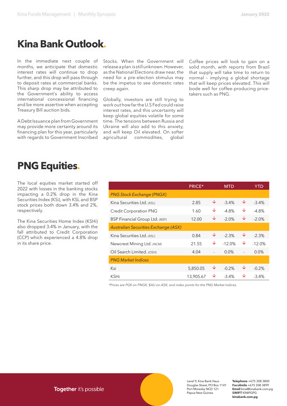## **Kina Bank Outlook.**

In the immediate next couple of months, we anticipate that domestic interest rates will continue to drop further, and this drop will pass through to deposit rates at commercial banks. This sharp drop may be attributed to the Government's ability to access international concessional financing and be more assertive when accepting Treasury Bill auction bids.

A Debt Issuance plan from Government may provide more certainty around its financing plan for this year, particularly with regards to Government Inscribed

Stocks. When the Government will release a plan is still unknown. However, as the National Elections draw near, the need for a pre-election stimulus may be the impetus to see domestic rates creep again.

Globally, investors are still trying to work out how far the U.S Fed could raise interest rates, and this uncertainty will keep global equities volatile for some time. The tensions between Russia and Ukraine will also add to this anxiety, and will keep Oil elevated. On softer agricultural commodities, global Coffee prices will look to gain on a solid month, with reports from Brazil that supply will take time to return to normal – implying a global shortage that will keep prices elevated. This will bode well for coffee-producing pricetakers such as PNG.

## **PNG Equities.**

The local equities market started off 2022 with losses in the banking stocks impacting a 0.2% drop in the Kina Securities Index (KSi), with KSL and BSP stock prices both down 3.4% and 2%, respectively.

The Kina Securities Home Index (KSHi) also dropped 3.4% in January, with the fall attributed to Credit Corporation (CCP) which experienced a 4.8% drop in its share price.

|                                             | <b>PRICE*</b> |                | MTD      |                          | YID      |
|---------------------------------------------|---------------|----------------|----------|--------------------------|----------|
| <b>PNG Stock Exchange (PNGX)</b>            |               |                |          |                          |          |
| Kina Securities Ltd. (KSL)                  | 2.85          | ↓              | $-3.4%$  | ↓                        | $-3.4%$  |
| <b>Credit Corporation PNG</b>               | 1.60          | ↓              | $-4.8%$  | ↓                        | $-4.8%$  |
| BSP Financial Group Ltd. (BSP)              | 12.00         | ↓              | $-2.0%$  | ↓                        | $-2.0%$  |
| <b>Australian Securities Exchange (ASX)</b> |               |                |          |                          |          |
| Kina Securities Ltd. (KSL)                  | 0.84          | ↓              | $-2.3%$  | ↓                        | $-2.3%$  |
| Newcrest Mining Ltd. (NCM)                  | 21.55         | ↓              | $-12.0%$ | ↓                        | $-12.0%$ |
| Oil Search Limited. (OSH)                   | 4.04          | $\overline{a}$ | 0.0%     | $\overline{\phantom{0}}$ | 0.0%     |
| <b>PNG Market Indices</b>                   |               |                |          |                          |          |
| Ksi                                         | 5,850.05      | ↓              | $-0.2%$  | ↓                        | $-0.2\%$ |
| KSHi                                        | 13,905.67     | ↓              | $-3.4%$  | ∿                        | $-3.4\%$ |

*\*Prices are PGK on PNGX; \$AU on ASX; and index points for the PNG Market Indices.*

Level 9, Kina Bank Haus Douglas Street, PO Box 1141 Port Moresby NCD 121 Papua New Guinea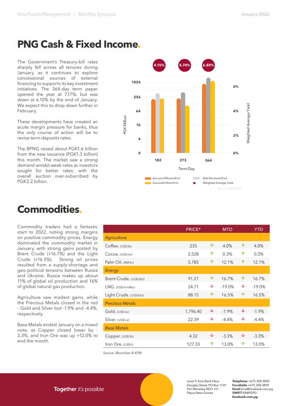## **PNG Cash & Fixed Income.**

The Government's Treasury-bill rates sharply fell across all tenures during January, as it continues to explore concessional sources of external financing to supports its key investment initiatives. The 364-day term paper opened the year at 7.17%; but was down at 6.10% by the end of January. We expect this to drop down further in February.

These developments have created an acute margin pressure for banks, thus the only course of action will be to revise term deposits rates.

The BPNG raised about PGK1.6 billion from the new issuance (PGK1.3 billion) this month. The market saw a strong demand amidst weak rates as investors sought for better rates; with the overall auction over-subscribed by PGK2.2 billion.

## **Commodities.**

Commodity traders had a fantastic start to 2022, noting strong margins on positive commodity prices. Energy dominated the commodity market in January, with strong gains posted by Brent Crude (+16.7%) and the Light Crude (+16.5%). Strong oil prices resulted from a supply-shortage and geo-political tensions between Russia and Ukraine. Russia makes up about 11% of global oil production and 16% of global natural gas production.

Agriculture saw modest gains, while the Precious Metals closed in the red – Gold and Silver lost -1.9% and -4.4%, respectively.

Base Metals ended January on a mixed note, as Copper closed lower by - 3.3%, and Iron Ore was up +12.0% to end the month.

Together it's possible



|                         | PRICE*   |   | <b>MTD</b> |   | <b>YTD</b> |
|-------------------------|----------|---|------------|---|------------|
| <b>Agriculture</b>      |          |   |            |   |            |
| Coffee. (USS/lb)        | 235      | 个 | 4.0%       | 个 | 4.0%       |
| Cocoa. (US\$/mt)        | 2,528    | 个 | 0.3%       | 个 | 0.3%       |
| Palm Oil. (RM/tn)       | 5,785    | ↑ | 12.1%      | 个 | 12.1%      |
| <b>Energy</b>           |          |   |            |   |            |
| Brent Crude. (US\$/bbl) | 91.21    | 个 | 16.7%      | 个 | 16.7%      |
| LNG. (USS/mm Btu)       | 24.71    | ↓ | $-19.0%$   | ↓ | $-19.0%$   |
| Light Crude. (US\$/bbl) | 88.15    | 个 | 16.5%      | 个 | 16.5%      |
| <b>Precious Metals</b>  |          |   |            |   |            |
| Gold. (US\$/oz)         | 1,796.40 | ↓ | $-1.9%$    | ↓ | $-1.9%$    |
| Silver. (US\$/oz)       | 22.39    | ↓ | $-4.4\%$   | ↓ | $-4.4\%$   |
| <b>Base Metals</b>      |          |   |            |   |            |
| Copper. (US\$/lb)       | 4.32     | ↓ | $-3.3%$    | ↓ | $-3.3%$    |
| Iron Ore. $(US$/t)$     | 127.33   | 个 | 13.0%      | 个 | 13.0%      |

*Source: Bloomber & KFM*

Level 9, Kina Bank Haus Douglas Street, PO Box 1141 Port Moresby NCD 121 Papua New Guinea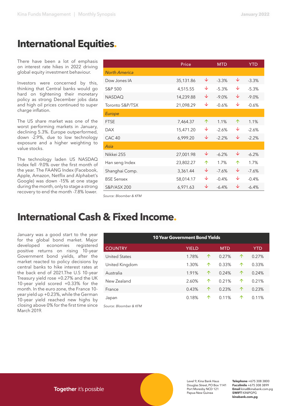### **International Equities.**

There have been a lot of emphasis on interest rate hikes in 2022 driving global equity investment behaviour.

Investors were concerned by this, thinking that Central banks would go hard on tightening their monetary policy as strong December jobs data and high oil prices continued to super charge inflation.

The US share market was one of the worst performing markets in January, declining 5.3%. Europe outperformed, down -2.9%, due to low technology exposure and a higher weighting to value stocks.

The technology laden US NASDAQ Index fell -9.0% over the first month of the year. The FAANG Index (Facebook, Apple, Amazon, Netflix and Alphabet's Google) was down -15% at one stage during the month, only to stage a strong recovery to end the month -7.8% lower.

|                      | Price     |   | <b>MTD</b> |   | <b>YTD</b> |
|----------------------|-----------|---|------------|---|------------|
| <b>North America</b> |           |   |            |   |            |
| Dow Jones IA         | 35,131.86 | ↓ | $-3.3%$    | ↓ | $-3.3%$    |
| S&P 500              | 4,515.55  | ↓ | $-5.3%$    | ↓ | $-5.3%$    |
| <b>NASDAQ</b>        | 14,239.88 | ↓ | $-9.0%$    | V | $-9.0\%$   |
| Toronto S&P/TSX      | 21,098.29 | ↓ | $-0.6%$    | ↓ | $-0.6%$    |
| <b>Europe</b>        |           |   |            |   |            |
| <b>FTSE</b>          | 7,464.37  | 个 | 1.1%       | 个 | 1.1%       |
| <b>DAX</b>           | 15,471.20 | ↓ | $-2.6%$    | ↓ | $-2.6%$    |
| CAC <sub>40</sub>    | 6,999.20  | ↓ | $-2.2%$    | V | $-2.2%$    |
| Asia                 |           |   |            |   |            |
| Nikkei 255           | 27,001.98 | ↓ | $-6.2%$    | ↓ | $-6.2%$    |
| Han seng Index       | 23,802.27 | 个 | 1.7%       | 个 | 1.7%       |
| Shanghai Comp.       | 3,361.44  | ↓ | $-7.6%$    | ↓ | $-7.6%$    |
| <b>BSE Sensex</b>    | 58,014.17 | ↓ | $-0.4%$    | ↓ | $-0.4%$    |
| S&P/ASX 200          | 6,971.63  | ↓ | $-6.4%$    | ↓ | $-6.4%$    |

*Source: Bloomber & KFM*

## **International Cash & Fixed Income.**

January was a good start to the year for the global bond market. Major<br>developed economies registered developed economies positive returns on rising 10-year Government bond yields, after the market reacted to policy decisions by central banks to hike interest rates at the back end of 2021.The U.S 10-year Treasury yield rose +0.27% and the UK 10-year yield scored +0.33% for the month. In the euro zone, the France 10 year yield up +0.23%, while the German 10-year yield reached new highs by closing above 0% for the first time since March 2019.

| <b>10 Year Government Bond Yields</b> |              |   |            |   |            |  |
|---------------------------------------|--------------|---|------------|---|------------|--|
| <b>COUNTRY</b>                        | <b>YIELD</b> |   | <b>MTD</b> |   | <b>YTD</b> |  |
| <b>United States</b>                  | 1.78%        | ↑ | 0.27%      | ↑ | 0.27%      |  |
| United Kingdom                        | 1.30%        | 个 | 0.33%      | ↑ | 0.33%      |  |
| Australia                             | 1.91%        | 个 | 0.24%      | 个 | 0.24%      |  |
| New Zealand                           | 2.60%        | ↑ | 0.21%      | ↑ | 0.21%      |  |
| France                                | 0.43%        | ↑ | 0.23%      | 个 | 0.23%      |  |
| Japan                                 | 0.18%        | ↑ | 0.11%      | ↑ | 0.11%      |  |

*Source: Bloomber & KFM*

Together it's possible

Level 9, Kina Bank Haus Douglas Street, PO Box 1141 Port Moresby NCD 121 Papua New Guinea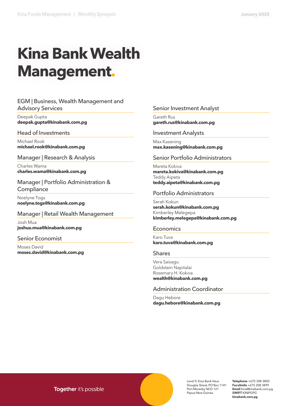# **Kina Bank Wealth Management.**

#### EGM | Business, Wealth Management and Advisory Services

Deepak Gupta **deepak.gupta@kinabank.com.pg** 

#### Head of Investments

Michael Rook **michael.rook@kinabank.com.pg**

Manager | Research & Analysis

Charles Wama **charles.wama@kinabank.com.pg**

Manager | Portfolio Administration & **Compliance** 

Noelyne Togs **noelyne.togs@kinabank.com.pg**

#### Manager | Retail Wealth Management

Josh Mua **joshua.mua@kinabank.com.pg**

#### Senior Economist

Moses David **moses.david@kinabank.com.pg**

#### Senior Investment Analyst

Gareth Rus **gareth.rus@kinabank.com.pg**

#### Investment Analysts

Max Kasening **max.kasening@kinabank.com.pg**

#### Senior Portfolio Administrators

Mareta Kokiva **mareta.kokiva@kinabank.com.pg**  Teddy Aipeta **teddy.aipeta@kinabank.com.pg**

#### Portfolio Administrators

Serah Kokun **serah.kokun@kinabank.com.pg**  Kimberley Melegepa **kimberley.melegepa@kinabank.com.pg**

#### Economics

Karo Tuva **karo.tuva@kinabank.com.pg**

#### Shares

Vera Saisagu Goldstein Napitalai Rosemary H. Kokiva **wealth@kinabank.com.pg**

#### Administration Coordinator

Dagu Hebore **dagu.hebore@kinabank.com.pg**

Level 9, Kina Bank Haus Douglas Street, PO Box 1141 Port Moresby NCD 121 Papua New Guinea